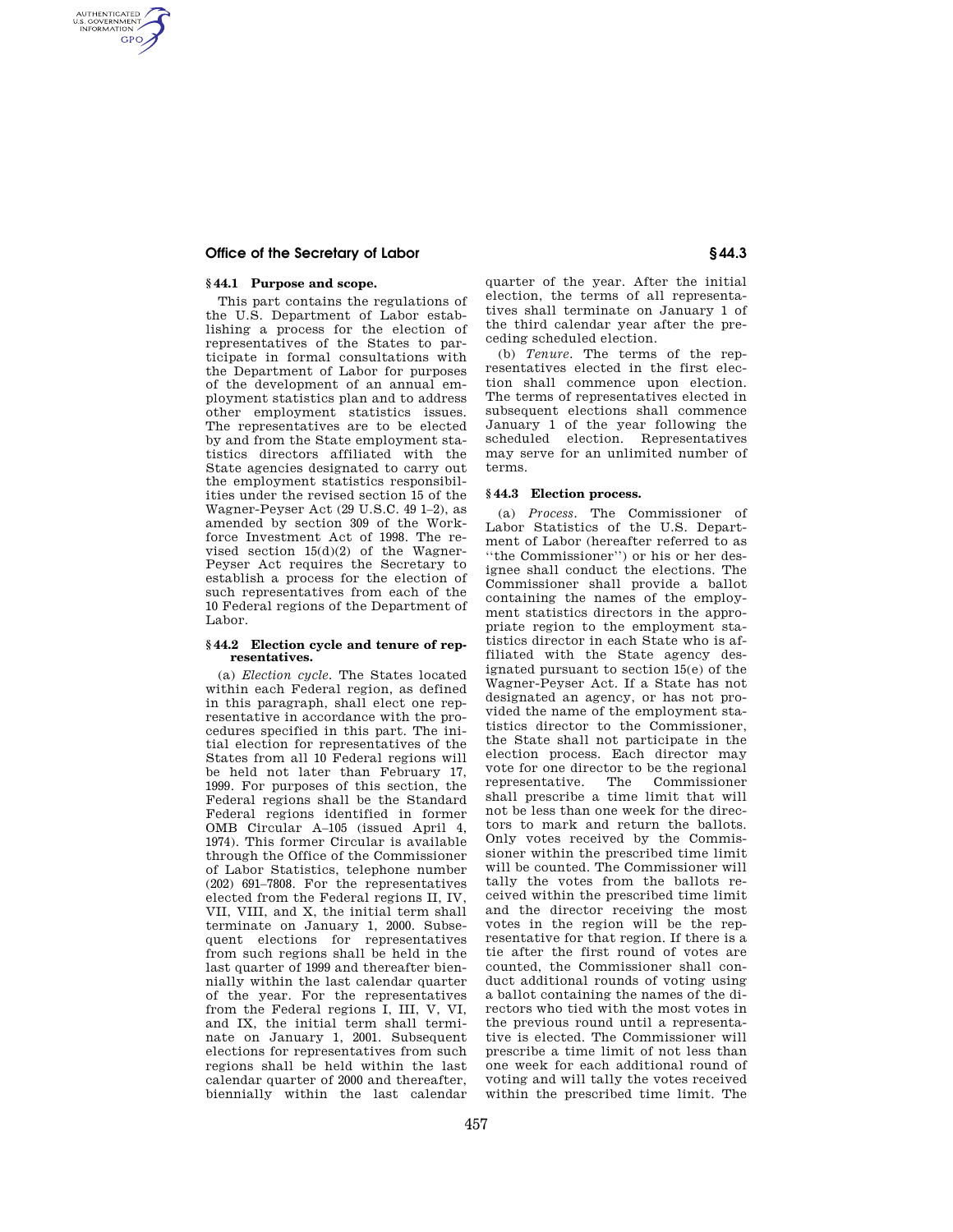# **Office of the Secretary of Labor § 44.3**

# **§ 44.1 Purpose and scope.**

AUTHENTICATED<br>U.S. GOVERNMENT<br>INFORMATION **GPO** 

> This part contains the regulations of the U.S. Department of Labor establishing a process for the election of representatives of the States to participate in formal consultations with the Department of Labor for purposes of the development of an annual employment statistics plan and to address other employment statistics issues. The representatives are to be elected by and from the State employment statistics directors affiliated with the State agencies designated to carry out the employment statistics responsibilities under the revised section 15 of the Wagner-Peyser Act (29 U.S.C. 49 1–2), as amended by section 309 of the Workforce Investment Act of 1998. The revised section  $15(d)(2)$  of the Wagner-Peyser Act requires the Secretary to establish a process for the election of such representatives from each of the 10 Federal regions of the Department of Labor.

## **§ 44.2 Election cycle and tenure of representatives.**

(a) *Election cycle.* The States located within each Federal region, as defined in this paragraph, shall elect one representative in accordance with the procedures specified in this part. The initial election for representatives of the States from all 10 Federal regions will be held not later than February 17, 1999. For purposes of this section, the Federal regions shall be the Standard Federal regions identified in former OMB Circular A–105 (issued April 4, 1974). This former Circular is available through the Office of the Commissioner of Labor Statistics, telephone number (202) 691–7808. For the representatives elected from the Federal regions II, IV, VII, VIII, and X, the initial term shall terminate on January 1, 2000. Subsequent elections for representatives from such regions shall be held in the last quarter of 1999 and thereafter biennially within the last calendar quarter of the year. For the representatives from the Federal regions I, III, V, VI, and IX, the initial term shall terminate on January 1, 2001. Subsequent elections for representatives from such regions shall be held within the last calendar quarter of 2000 and thereafter, biennially within the last calendar

quarter of the year. After the initial election, the terms of all representatives shall terminate on January 1 of the third calendar year after the preceding scheduled election.

(b) *Tenure.* The terms of the representatives elected in the first election shall commence upon election. The terms of representatives elected in subsequent elections shall commence January 1 of the year following the scheduled election. Representatives may serve for an unlimited number of terms.

## **§ 44.3 Election process.**

(a) *Process.* The Commissioner of Labor Statistics of the U.S. Department of Labor (hereafter referred to as ''the Commissioner'') or his or her designee shall conduct the elections. The Commissioner shall provide a ballot containing the names of the employment statistics directors in the appropriate region to the employment statistics director in each State who is affiliated with the State agency designated pursuant to section 15(e) of the Wagner-Peyser Act. If a State has not designated an agency, or has not provided the name of the employment statistics director to the Commissioner, the State shall not participate in the election process. Each director may vote for one director to be the regional representative. The Commissioner shall prescribe a time limit that will not be less than one week for the directors to mark and return the ballots. Only votes received by the Commissioner within the prescribed time limit will be counted. The Commissioner will tally the votes from the ballots received within the prescribed time limit and the director receiving the most votes in the region will be the representative for that region. If there is a tie after the first round of votes are counted, the Commissioner shall conduct additional rounds of voting using a ballot containing the names of the directors who tied with the most votes in the previous round until a representative is elected. The Commissioner will prescribe a time limit of not less than one week for each additional round of voting and will tally the votes received within the prescribed time limit. The